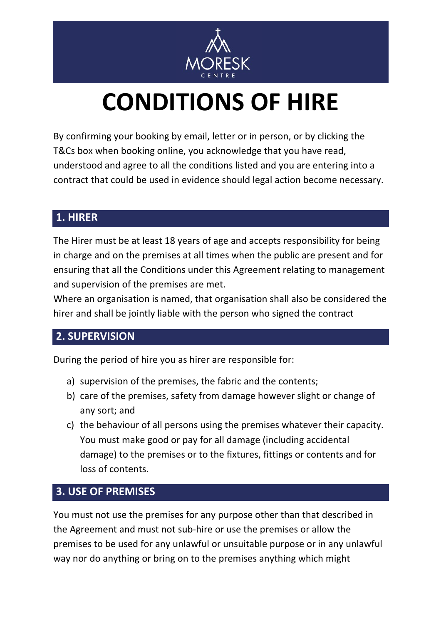

# **CONDITIONS OF HIRE**

By confirming your booking by email, letter or in person, or by clicking the T&Cs box when booking online, you acknowledge that you have read, understood and agree to all the conditions listed and you are entering into a contract that could be used in evidence should legal action become necessary.

#### **1. HIRER**

The Hirer must be at least 18 years of age and accepts responsibility for being in charge and on the premises at all times when the public are present and for ensuring that all the Conditions under this Agreement relating to management and supervision of the premises are met.

Where an organisation is named, that organisation shall also be considered the hirer and shall be jointly liable with the person who signed the contract

## **2. SUPERVISION**

During the period of hire you as hirer are responsible for:

- a) supervision of the premises, the fabric and the contents;
- b) care of the premises, safety from damage however slight or change of any sort; and
- c) the behaviour of all persons using the premises whatever their capacity. You must make good or pay for all damage (including accidental damage) to the premises or to the fixtures, fittings or contents and for loss of contents.

#### **3. USE OF PREMISES**

You must not use the premises for any purpose other than that described in the Agreement and must not sub-hire or use the premises or allow the premises to be used for any unlawful or unsuitable purpose or in any unlawful way nor do anything or bring on to the premises anything which might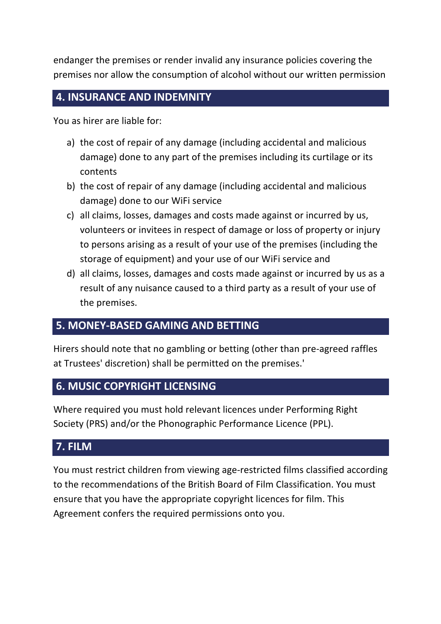endanger the premises or render invalid any insurance policies covering the premises nor allow the consumption of alcohol without our written permission

#### **4. INSURANCE AND INDEMNITY**

You as hirer are liable for:

- a) the cost of repair of any damage (including accidental and malicious damage) done to any part of the premises including its curtilage or its contents
- b) the cost of repair of any damage (including accidental and malicious damage) done to our WiFi service
- c) all claims, losses, damages and costs made against or incurred by us, volunteers or invitees in respect of damage or loss of property or injury to persons arising as a result of your use of the premises (including the storage of equipment) and your use of our WiFi service and
- d) all claims, losses, damages and costs made against or incurred by us as a result of any nuisance caused to a third party as a result of your use of the premises.

## **5. MONEY-BASED GAMING AND BETTING**

Hirers should note that no gambling or betting (other than pre-agreed raffles at Trustees' discretion) shall be permitted on the premises.'

#### **6. MUSIC COPYRIGHT LICENSING**

Where required you must hold relevant licences under Performing Right Society (PRS) and/or the Phonographic Performance Licence (PPL).

## **7. FILM**

You must restrict children from viewing age-restricted films classified according to the recommendations of the British Board of Film Classification. You must ensure that you have the appropriate copyright licences for film. This Agreement confers the required permissions onto you.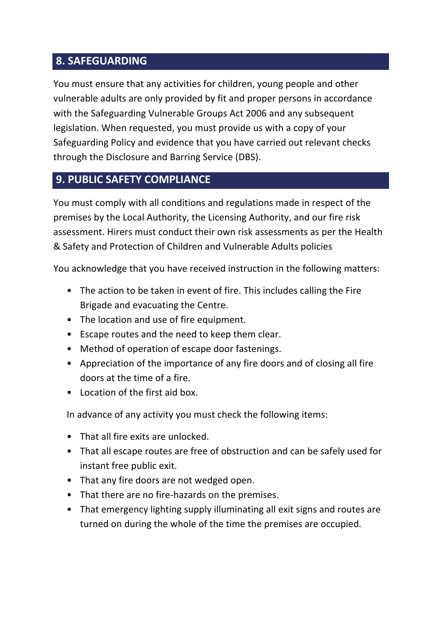## **8. SAFEGUARDING**

You must ensure that any activities for children, young people and other vulnerable adults are only provided by fit and proper persons in accordance with the Safeguarding Vulnerable Groups Act 2006 and any subsequent legislation. When requested, you must provide us with a copy of your Safeguarding Policy and evidence that you have carried out relevant checks through the Disclosure and Barring Service (DBS).

## **9. PUBLIC SAFETY COMPLIANCE**

You must comply with all conditions and regulations made in respect of the premises by the Local Authority, the Licensing Authority, and our fire risk assessment. Hirers must conduct their own risk assessments as per the Health & Safety and Protection of Children and Vulnerable Adults policies

You acknowledge that you have received instruction in the following matters:

- The action to be taken in event of fire. This includes calling the Fire Brigade and evacuating the Centre.
- The location and use of fire equipment.
- Escape routes and the need to keep them clear.
- Method of operation of escape door fastenings.
- Appreciation of the importance of any fire doors and of closing all fire doors at the time of a fire.
- Location of the first aid box.

In advance of any activity you must check the following items:

- That all fire exits are unlocked.
- That all escape routes are free of obstruction and can be safely used for instant free public exit.
- That any fire doors are not wedged open.
- That there are no fire-hazards on the premises.
- That emergency lighting supply illuminating all exit signs and routes are turned on during the whole of the time the premises are occupied.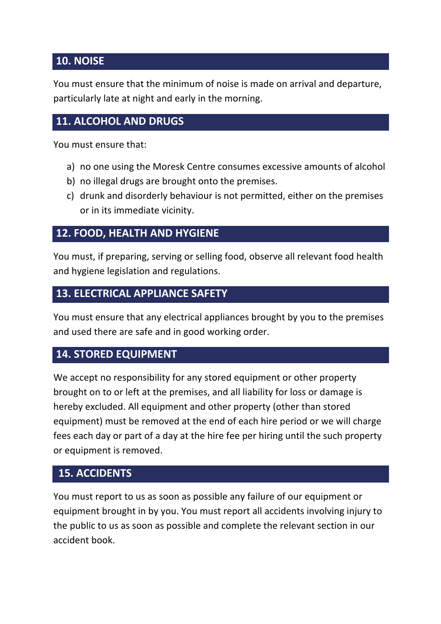## **10. NOISE**

You must ensure that the minimum of noise is made on arrival and departure, particularly late at night and early in the morning.

## **11. ALCOHOL AND DRUGS**

You must ensure that:

- a) no one using the Moresk Centre consumes excessive amounts of alcohol
- b) no illegal drugs are brought onto the premises.
- c) drunk and disorderly behaviour is not permitted, either on the premises or in its immediate vicinity.

#### **12. FOOD, HEALTH AND HYGIENE**

You must, if preparing, serving or selling food, observe all relevant food health and hygiene legislation and regulations.

#### **13. ELECTRICAL APPLIANCE SAFETY**

You must ensure that any electrical appliances brought by you to the premises and used there are safe and in good working order.

#### **14. STORED EQUIPMENT**

We accept no responsibility for any stored equipment or other property brought on to or left at the premises, and all liability for loss or damage is hereby excluded. All equipment and other property (other than stored equipment) must be removed at the end of each hire period or we will charge fees each day or part of a day at the hire fee per hiring until the such property or equipment is removed.

#### **15. ACCIDENTS**

You must report to us as soon as possible any failure of our equipment or equipment brought in by you. You must report all accidents involving injury to the public to us as soon as possible and complete the relevant section in our accident book.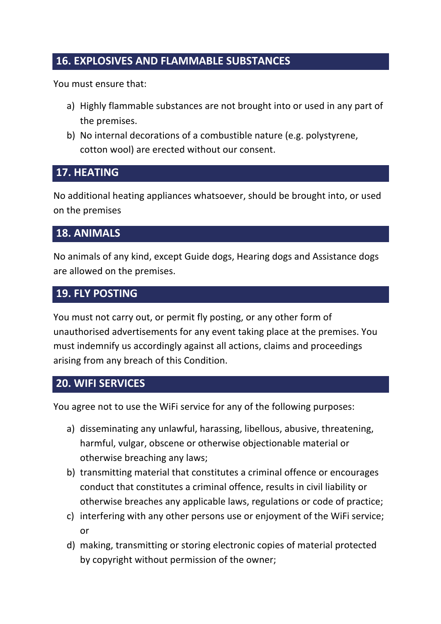## **16. EXPLOSIVES AND FLAMMABLE SUBSTANCES**

You must ensure that:

- a) Highly flammable substances are not brought into or used in any part of the premises.
- b) No internal decorations of a combustible nature (e.g. polystyrene, cotton wool) are erected without our consent.

#### **17. HEATING**

No additional heating appliances whatsoever, should be brought into, or used on the premises

#### **18. ANIMALS**

No animals of any kind, except Guide dogs, Hearing dogs and Assistance dogs are allowed on the premises.

#### **19. FLY POSTING**

You must not carry out, or permit fly posting, or any other form of unauthorised advertisements for any event taking place at the premises. You must indemnify us accordingly against all actions, claims and proceedings arising from any breach of this Condition.

#### **20. WIFI SERVICES**

You agree not to use the WiFi service for any of the following purposes:

- a) disseminating any unlawful, harassing, libellous, abusive, threatening, harmful, vulgar, obscene or otherwise objectionable material or otherwise breaching any laws;
- b) transmitting material that constitutes a criminal offence or encourages conduct that constitutes a criminal offence, results in civil liability or otherwise breaches any applicable laws, regulations or code of practice;
- c) interfering with any other persons use or enjoyment of the WiFi service; or
- d) making, transmitting or storing electronic copies of material protected by copyright without permission of the owner;